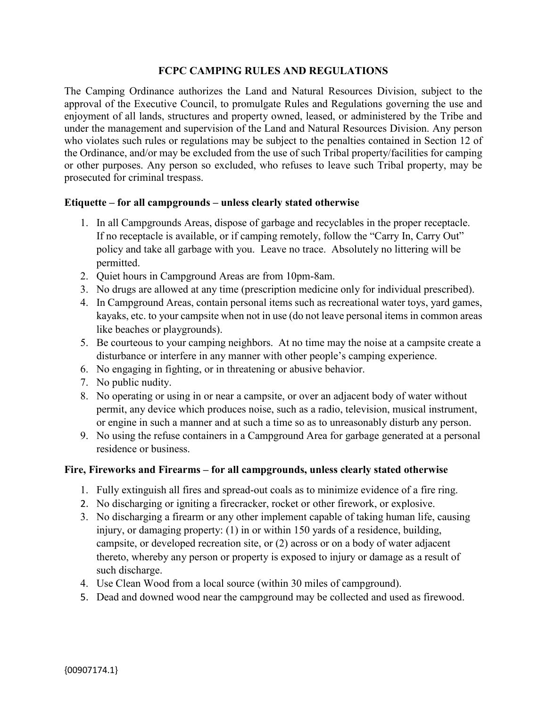# **FCPC CAMPING RULES AND REGULATIONS**

The Camping Ordinance authorizes the Land and Natural Resources Division, subject to the approval of the Executive Council, to promulgate Rules and Regulations governing the use and enjoyment of all lands, structures and property owned, leased, or administered by the Tribe and under the management and supervision of the Land and Natural Resources Division. Any person who violates such rules or regulations may be subject to the penalties contained in Section 12 of the Ordinance, and/or may be excluded from the use of such Tribal property/facilities for camping or other purposes. Any person so excluded, who refuses to leave such Tribal property, may be prosecuted for criminal trespass.

#### **Etiquette – for all campgrounds – unless clearly stated otherwise**

- 1. In all Campgrounds Areas, dispose of garbage and recyclables in the proper receptacle. If no receptacle is available, or if camping remotely, follow the "Carry In, Carry Out" policy and take all garbage with you. Leave no trace. Absolutely no littering will be permitted.
- 2. Quiet hours in Campground Areas are from 10pm-8am.
- 3. No drugs are allowed at any time (prescription medicine only for individual prescribed).
- 4. In Campground Areas, contain personal items such as recreational water toys, yard games, kayaks, etc. to your campsite when not in use (do not leave personal items in common areas like beaches or playgrounds).
- 5. Be courteous to your camping neighbors. At no time may the noise at a campsite create a disturbance or interfere in any manner with other people's camping experience.
- 6. No engaging in fighting, or in threatening or abusive behavior.
- 7. No public nudity.
- 8. No operating or using in or near a campsite, or over an adjacent body of water without permit, any device which produces noise, such as a radio, television, musical instrument, or engine in such a manner and at such a time so as to unreasonably disturb any person.
- 9. No using the refuse containers in a Campground Area for garbage generated at a personal residence or business.

#### **Fire, Fireworks and Firearms – for all campgrounds, unless clearly stated otherwise**

- 1. Fully extinguish all fires and spread-out coals as to minimize evidence of a fire ring.
- 2. No discharging or igniting a firecracker, rocket or other firework, or explosive.
- 3. No discharging a firearm or any other implement capable of taking human life, causing injury, or damaging property: (1) in or within 150 yards of a residence, building, campsite, or developed recreation site, or (2) across or on a body of water adjacent thereto, whereby any person or property is exposed to injury or damage as a result of such discharge.
- 4. Use Clean Wood from a local source (within 30 miles of campground).
- 5. Dead and downed wood near the campground may be collected and used as firewood.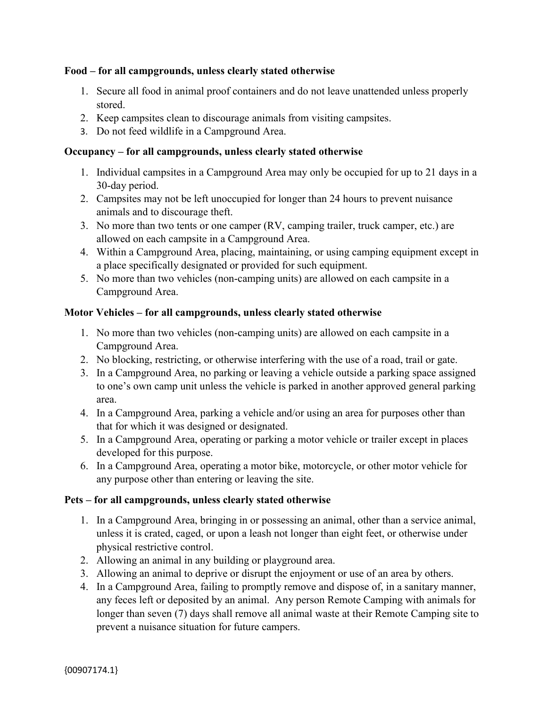## **Food – for all campgrounds, unless clearly stated otherwise**

- 1. Secure all food in animal proof containers and do not leave unattended unless properly stored.
- 2. Keep campsites clean to discourage animals from visiting campsites.
- 3. Do not feed wildlife in a Campground Area.

## **Occupancy – for all campgrounds, unless clearly stated otherwise**

- 1. Individual campsites in a Campground Area may only be occupied for up to 21 days in a 30-day period.
- 2. Campsites may not be left unoccupied for longer than 24 hours to prevent nuisance animals and to discourage theft.
- 3. No more than two tents or one camper (RV, camping trailer, truck camper, etc.) are allowed on each campsite in a Campground Area.
- 4. Within a Campground Area, placing, maintaining, or using camping equipment except in a place specifically designated or provided for such equipment.
- 5. No more than two vehicles (non-camping units) are allowed on each campsite in a Campground Area.

### **Motor Vehicles – for all campgrounds, unless clearly stated otherwise**

- 1. No more than two vehicles (non-camping units) are allowed on each campsite in a Campground Area.
- 2. No blocking, restricting, or otherwise interfering with the use of a road, trail or gate.
- 3. In a Campground Area, no parking or leaving a vehicle outside a parking space assigned to one's own camp unit unless the vehicle is parked in another approved general parking area.
- 4. In a Campground Area, parking a vehicle and/or using an area for purposes other than that for which it was designed or designated.
- 5. In a Campground Area, operating or parking a motor vehicle or trailer except in places developed for this purpose.
- 6. In a Campground Area, operating a motor bike, motorcycle, or other motor vehicle for any purpose other than entering or leaving the site.

# **Pets – for all campgrounds, unless clearly stated otherwise**

- 1. In a Campground Area, bringing in or possessing an animal, other than a service animal, unless it is crated, caged, or upon a leash not longer than eight feet, or otherwise under physical restrictive control.
- 2. Allowing an animal in any building or playground area.
- 3. Allowing an animal to deprive or disrupt the enjoyment or use of an area by others.
- 4. In a Campground Area, failing to promptly remove and dispose of, in a sanitary manner, any feces left or deposited by an animal. Any person Remote Camping with animals for longer than seven (7) days shall remove all animal waste at their Remote Camping site to prevent a nuisance situation for future campers.